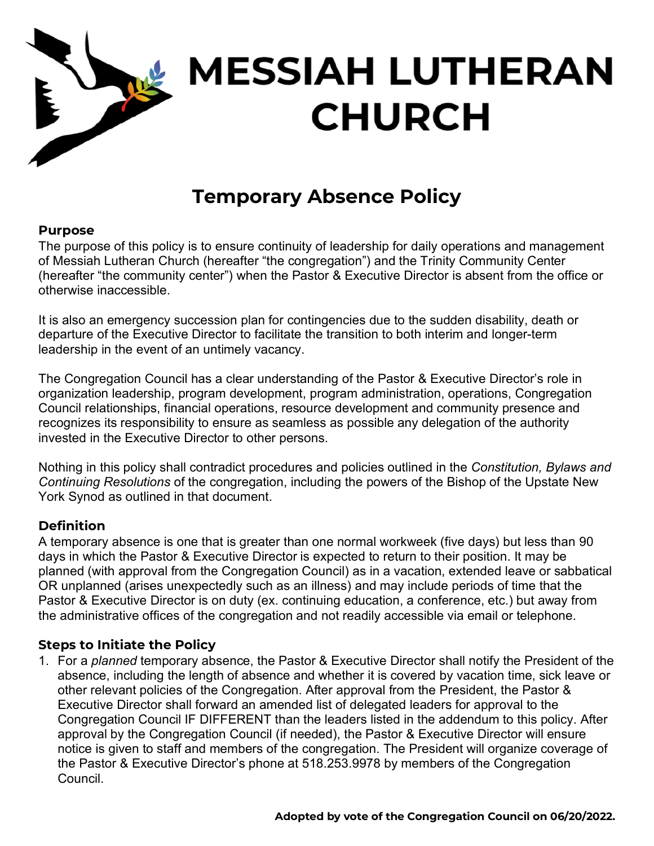

# **MESSIAH LUTHERAN CHURCH**

# **Temporary Absence Policy**

#### **Purpose**

The purpose of this policy is to ensure continuity of leadership for daily operations and management of Messiah Lutheran Church (hereafter "the congregation") and the Trinity Community Center (hereafter "the community center") when the Pastor & Executive Director is absent from the office or otherwise inaccessible.

It is also an emergency succession plan for contingencies due to the sudden disability, death or departure of the Executive Director to facilitate the transition to both interim and longer-term leadership in the event of an untimely vacancy.

The Congregation Council has a clear understanding of the Pastor & Executive Director's role in organization leadership, program development, program administration, operations, Congregation Council relationships, financial operations, resource development and community presence and recognizes its responsibility to ensure as seamless as possible any delegation of the authority invested in the Executive Director to other persons.

Nothing in this policy shall contradict procedures and policies outlined in the *Constitution, Bylaws and Continuing Resolutions* of the congregation, including the powers of the Bishop of the Upstate New York Synod as outlined in that document.

# **Definition**

A temporary absence is one that is greater than one normal workweek (five days) but less than 90 days in which the Pastor & Executive Director is expected to return to their position. It may be planned (with approval from the Congregation Council) as in a vacation, extended leave or sabbatical OR unplanned (arises unexpectedly such as an illness) and may include periods of time that the Pastor & Executive Director is on duty (ex. continuing education, a conference, etc.) but away from the administrative offices of the congregation and not readily accessible via email or telephone.

# **Steps to Initiate the Policy**

1. For a *planned* temporary absence, the Pastor & Executive Director shall notify the President of the absence, including the length of absence and whether it is covered by vacation time, sick leave or other relevant policies of the Congregation. After approval from the President, the Pastor & Executive Director shall forward an amended list of delegated leaders for approval to the Congregation Council IF DIFFERENT than the leaders listed in the addendum to this policy. After approval by the Congregation Council (if needed), the Pastor & Executive Director will ensure notice is given to staff and members of the congregation. The President will organize coverage of the Pastor & Executive Director's phone at 518.253.9978 by members of the Congregation Council.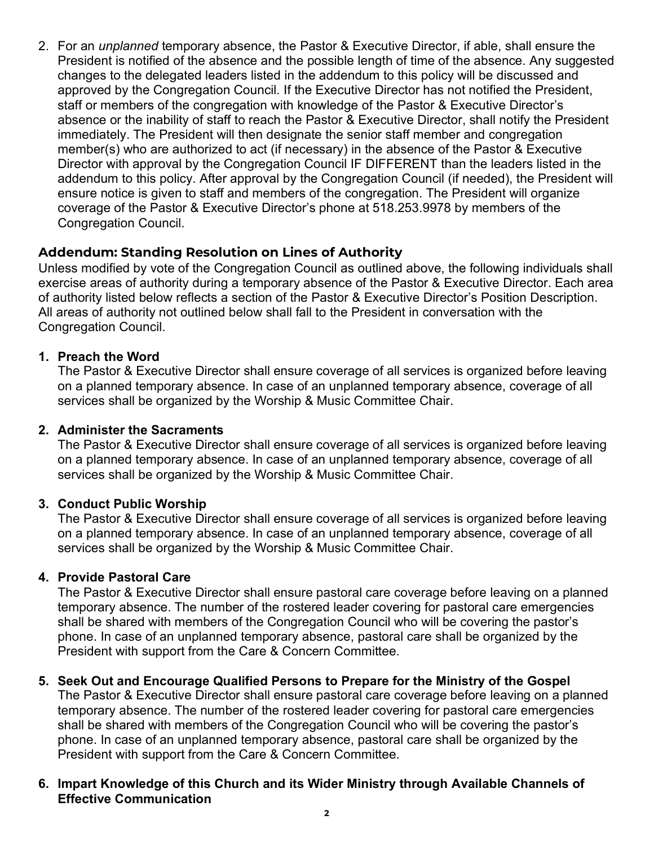2. For an *unplanned* temporary absence, the Pastor & Executive Director, if able, shall ensure the President is notified of the absence and the possible length of time of the absence. Any suggested changes to the delegated leaders listed in the addendum to this policy will be discussed and approved by the Congregation Council. If the Executive Director has not notified the President, staff or members of the congregation with knowledge of the Pastor & Executive Director's absence or the inability of staff to reach the Pastor & Executive Director, shall notify the President immediately. The President will then designate the senior staff member and congregation member(s) who are authorized to act (if necessary) in the absence of the Pastor & Executive Director with approval by the Congregation Council IF DIFFERENT than the leaders listed in the addendum to this policy. After approval by the Congregation Council (if needed), the President will ensure notice is given to staff and members of the congregation. The President will organize coverage of the Pastor & Executive Director's phone at 518.253.9978 by members of the Congregation Council.

# **Addendum: Standing Resolution on Lines of Authority**

Unless modified by vote of the Congregation Council as outlined above, the following individuals shall exercise areas of authority during a temporary absence of the Pastor & Executive Director. Each area of authority listed below reflects a section of the Pastor & Executive Director's Position Description. All areas of authority not outlined below shall fall to the President in conversation with the Congregation Council.

#### **1. Preach the Word**

The Pastor & Executive Director shall ensure coverage of all services is organized before leaving on a planned temporary absence. In case of an unplanned temporary absence, coverage of all services shall be organized by the Worship & Music Committee Chair.

#### **2. Administer the Sacraments**

The Pastor & Executive Director shall ensure coverage of all services is organized before leaving on a planned temporary absence. In case of an unplanned temporary absence, coverage of all services shall be organized by the Worship & Music Committee Chair.

#### **3. Conduct Public Worship**

The Pastor & Executive Director shall ensure coverage of all services is organized before leaving on a planned temporary absence. In case of an unplanned temporary absence, coverage of all services shall be organized by the Worship & Music Committee Chair.

#### **4. Provide Pastoral Care**

The Pastor & Executive Director shall ensure pastoral care coverage before leaving on a planned temporary absence. The number of the rostered leader covering for pastoral care emergencies shall be shared with members of the Congregation Council who will be covering the pastor's phone. In case of an unplanned temporary absence, pastoral care shall be organized by the President with support from the Care & Concern Committee.

#### **5. Seek Out and Encourage Qualified Persons to Prepare for the Ministry of the Gospel**

The Pastor & Executive Director shall ensure pastoral care coverage before leaving on a planned temporary absence. The number of the rostered leader covering for pastoral care emergencies shall be shared with members of the Congregation Council who will be covering the pastor's phone. In case of an unplanned temporary absence, pastoral care shall be organized by the President with support from the Care & Concern Committee.

#### **6. Impart Knowledge of this Church and its Wider Ministry through Available Channels of Effective Communication**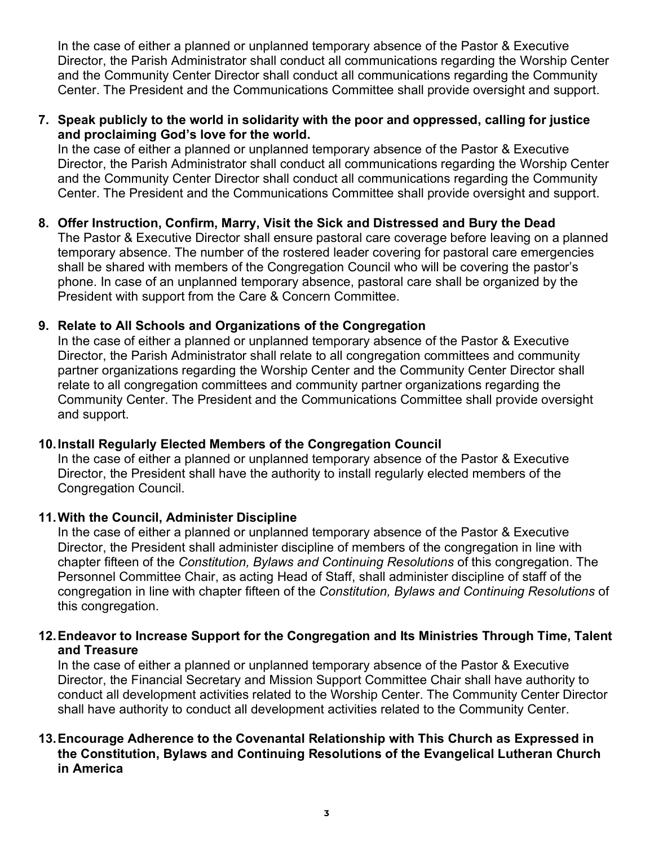In the case of either a planned or unplanned temporary absence of the Pastor & Executive Director, the Parish Administrator shall conduct all communications regarding the Worship Center and the Community Center Director shall conduct all communications regarding the Community Center. The President and the Communications Committee shall provide oversight and support.

#### **7. Speak publicly to the world in solidarity with the poor and oppressed, calling for justice and proclaiming God's love for the world.**

In the case of either a planned or unplanned temporary absence of the Pastor & Executive Director, the Parish Administrator shall conduct all communications regarding the Worship Center and the Community Center Director shall conduct all communications regarding the Community Center. The President and the Communications Committee shall provide oversight and support.

# **8. Offer Instruction, Confirm, Marry, Visit the Sick and Distressed and Bury the Dead**

The Pastor & Executive Director shall ensure pastoral care coverage before leaving on a planned temporary absence. The number of the rostered leader covering for pastoral care emergencies shall be shared with members of the Congregation Council who will be covering the pastor's phone. In case of an unplanned temporary absence, pastoral care shall be organized by the President with support from the Care & Concern Committee.

# **9. Relate to All Schools and Organizations of the Congregation**

In the case of either a planned or unplanned temporary absence of the Pastor & Executive Director, the Parish Administrator shall relate to all congregation committees and community partner organizations regarding the Worship Center and the Community Center Director shall relate to all congregation committees and community partner organizations regarding the Community Center. The President and the Communications Committee shall provide oversight and support.

#### **10.Install Regularly Elected Members of the Congregation Council**

In the case of either a planned or unplanned temporary absence of the Pastor & Executive Director, the President shall have the authority to install regularly elected members of the Congregation Council.

#### **11.With the Council, Administer Discipline**

In the case of either a planned or unplanned temporary absence of the Pastor & Executive Director, the President shall administer discipline of members of the congregation in line with chapter fifteen of the *Constitution, Bylaws and Continuing Resolutions* of this congregation. The Personnel Committee Chair, as acting Head of Staff, shall administer discipline of staff of the congregation in line with chapter fifteen of the *Constitution, Bylaws and Continuing Resolutions* of this congregation.

#### **12.Endeavor to Increase Support for the Congregation and Its Ministries Through Time, Talent and Treasure**

In the case of either a planned or unplanned temporary absence of the Pastor & Executive Director, the Financial Secretary and Mission Support Committee Chair shall have authority to conduct all development activities related to the Worship Center. The Community Center Director shall have authority to conduct all development activities related to the Community Center.

#### **13.Encourage Adherence to the Covenantal Relationship with This Church as Expressed in the Constitution, Bylaws and Continuing Resolutions of the Evangelical Lutheran Church in America**